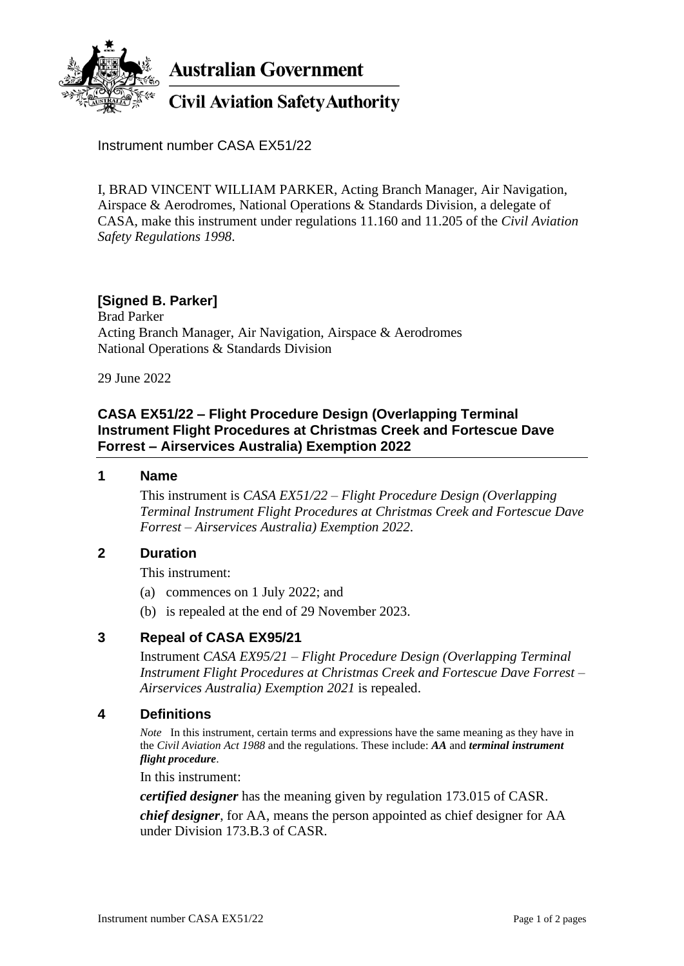

**Australian Government** 

# **Civil Aviation Safety Authority**

Instrument number CASA EX51/22

I, BRAD VINCENT WILLIAM PARKER, Acting Branch Manager, Air Navigation, Airspace & Aerodromes, National Operations & Standards Division, a delegate of CASA, make this instrument under regulations 11.160 and 11.205 of the *Civil Aviation Safety Regulations 1998*.

## **[Signed B. Parker]**

Brad Parker Acting Branch Manager, Air Navigation, Airspace & Aerodromes National Operations & Standards Division

29 June 2022

## **CASA EX51/22 – Flight Procedure Design (Overlapping Terminal Instrument Flight Procedures at Christmas Creek and Fortescue Dave Forrest – Airservices Australia) Exemption 2022**

#### **1 Name**

This instrument is *CASA EX51/22 – Flight Procedure Design (Overlapping Terminal Instrument Flight Procedures at Christmas Creek and Fortescue Dave Forrest* – *Airservices Australia) Exemption 2022*.

### **2 Duration**

This instrument:

- (a) commences on 1 July 2022; and
- (b) is repealed at the end of 29 November 2023.

#### **3 Repeal of CASA EX95/21**

Instrument *CASA EX95/21 – Flight Procedure Design (Overlapping Terminal Instrument Flight Procedures at Christmas Creek and Fortescue Dave Forrest – Airservices Australia) Exemption 2021* is repealed.

#### **4 Definitions**

*Note* In this instrument, certain terms and expressions have the same meaning as they have in the *Civil Aviation Act 1988* and the regulations. These include: *AA* and *terminal instrument flight procedure*.

In this instrument:

*certified designer* has the meaning given by regulation 173.015 of CASR. *chief designer*, for AA, means the person appointed as chief designer for AA under Division 173.B.3 of CASR.